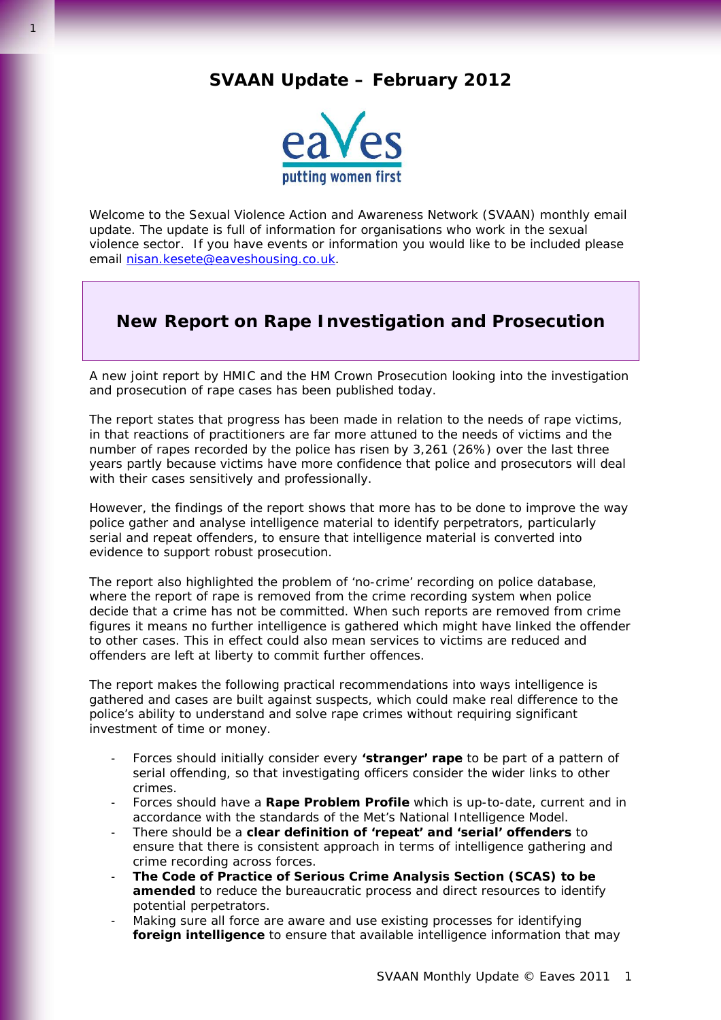## **SVAAN Update – February 2012**



Welcome to the Sexual Violence Action and Awareness Network (SVAAN) monthly email update. The update is full of information for organisations who work in the sexual violence sector. If you have events or information you would like to be included please email [nisan.kesete@eaveshousing.co.uk.](mailto:nisan.kesete@eaveshousing.co.uk)

# **New Report on Rape Investigation and Prosecution**

A new joint report by HMIC and the HM Crown Prosecution looking into the investigation and prosecution of rape cases has been published today.

The report states that progress has been made in relation to the needs of rape victims, in that reactions of practitioners are far more attuned to the needs of victims and the number of rapes recorded by the police has risen by 3,261 (26%) over the last three years partly because victims have more confidence that police and prosecutors will deal with their cases sensitively and professionally.

However, the findings of the report shows that more has to be done to improve the way police gather and analyse intelligence material to identify perpetrators, particularly serial and repeat offenders, to ensure that intelligence material is converted into evidence to support robust prosecution.

The report also highlighted the problem of 'no-crime' recording on police database, where the report of rape is removed from the crime recording system when police decide that a crime has not be committed. When such reports are removed from crime figures it means no further intelligence is gathered which might have linked the offender to other cases. This in effect could also mean services to victims are reduced and offenders are left at liberty to commit further offences.

The report makes the following practical recommendations into ways intelligence is gathered and cases are built against suspects, which could make real difference to the police's ability to understand and solve rape crimes without requiring significant investment of time or money.

- Forces should initially consider every **'stranger' rape** to be part of a pattern of serial offending, so that investigating officers consider the wider links to other crimes.
- Forces should have a **Rape Problem Profile** which is up-to-date, current and in accordance with the standards of the Met's National Intelligence Model.
- There should be a **clear definition of 'repeat' and 'serial' offenders** to ensure that there is consistent approach in terms of intelligence gathering and crime recording across forces.
- **The Code of Practice of Serious Crime Analysis Section (SCAS) to be amended** to reduce the bureaucratic process and direct resources to identify potential perpetrators.
- Making sure all force are aware and use existing processes for identifying **foreign intelligence** to ensure that available intelligence information that may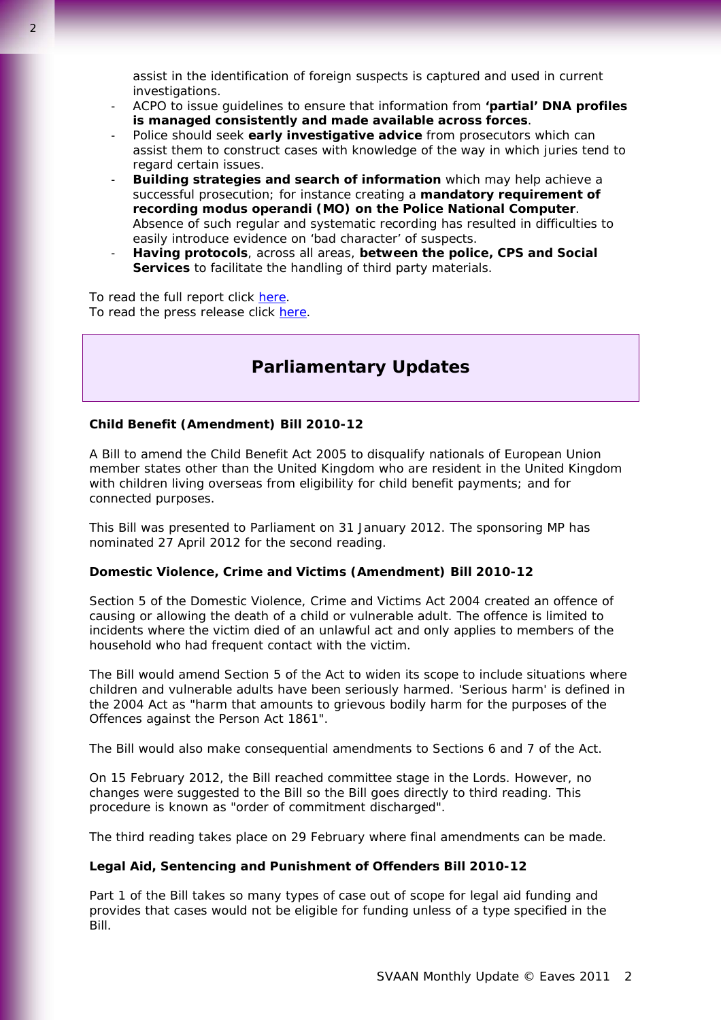- ACPO to issue guidelines to ensure that information from **'partial' DNA profiles is managed consistently and made available across forces**.
- Police should seek **early investigative advice** from prosecutors which can assist them to construct cases with knowledge of the way in which juries tend to regard certain issues.
- **Building strategies and search of information** which may help achieve a successful prosecution; for instance creating a **mandatory requirement of recording modus operandi (MO) on the Police National Computer**. Absence of such regular and systematic recording has resulted in difficulties to easily introduce evidence on 'bad character' of suspects.
- **Having protocols**, across all areas, **between the police, CPS and Social Services** to facilitate the handling of third party materials.

To read the full report click [here](http://www.hmic.gov.uk/media/forging-the-links-rape-investigation-and-prosecution-20120228.pdf). To read the press release click [here](http://www.hmic.gov.uk/news/releases-2012/0092012%E2%80%93rapists-could-be-convicted-more-quickly-and-successfully-if-the-police-and-the-crown-prosecution-service-made-better-use-of-available-intelligence/).

# **Parliamentary Updates**

## **Child Benefit (Amendment) Bill 2010-12**

A Bill to amend the Child Benefit Act 2005 to disqualify nationals of European Union member states other than the United Kingdom who are resident in the United Kingdom with children living overseas from eligibility for child benefit payments; and for connected purposes.

This Bill was presented to Parliament on 31 January 2012. The sponsoring MP has nominated 27 April 2012 for the second reading.

## **Domestic Violence, Crime and Victims (Amendment) Bill 2010-12**

Section 5 of the Domestic Violence, Crime and Victims Act 2004 created an offence of causing or allowing the death of a child or vulnerable adult. The offence is limited to incidents where the victim died of an unlawful act and only applies to members of the household who had frequent contact with the victim.

The Bill would amend Section 5 of the Act to widen its scope to include situations where children and vulnerable adults have been seriously harmed. 'Serious harm' is defined in the 2004 Act as "harm that amounts to grievous bodily harm for the purposes of the Offences against the Person Act 1861".

The Bill would also make consequential amendments to Sections 6 and 7 of the Act.

On 15 February 2012, the Bill reached committee stage in the Lords. However, no changes were suggested to the Bill so the Bill goes directly to third reading. This procedure is known as "order of commitment discharged".

The third reading takes place on 29 February where final amendments can be made.

## **Legal Aid, Sentencing and Punishment of Offenders Bill 2010-12**

Part 1 of the Bill takes so many types of case out of scope for legal aid funding and provides that cases would not be eligible for funding unless of a type specified in the Bill.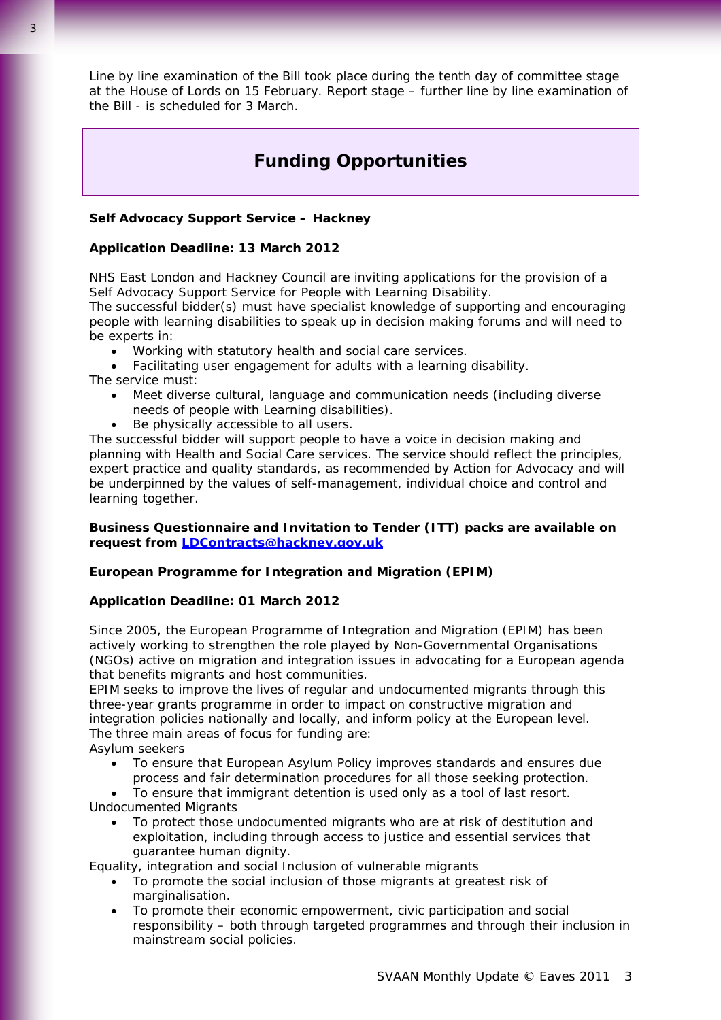Line by line examination of the Bill took place during the tenth day of committee stage at the House of Lords on 15 February. Report stage – further line by line examination of the Bill - is scheduled for 3 March.

# **Funding Opportunities**

## **Self Advocacy Support Service – Hackney**

#### **Application Deadline: 13 March 2012**

NHS East London and Hackney Council are inviting applications for the provision of a Self Advocacy Support Service for People with Learning Disability.

The successful bidder(s) must have specialist knowledge of supporting and encouraging people with learning disabilities to speak up in decision making forums and will need to be experts in:

- Working with statutory health and social care services.
- Facilitating user engagement for adults with a learning disability.

The service must:

- Meet diverse cultural, language and communication needs (including diverse needs of people with Learning disabilities).
- Be physically accessible to all users.

The successful bidder will support people to have a voice in decision making and planning with Health and Social Care services. The service should reflect the principles, expert practice and quality standards, as recommended by Action for Advocacy and will be underpinned by the values of self-management, individual choice and control and learning together.

## **Business Questionnaire and Invitation to Tender (ITT) packs are available on request from [LDContracts@hackney.gov.uk](mailto:LDContracts@hackney.gov.uk)**

## **European Programme for Integration and Migration (EPIM)**

## **Application Deadline: 01 March 2012**

Since 2005, the European Programme of Integration and Migration (EPIM) has been actively working to strengthen the role played by Non-Governmental Organisations (NGOs) active on migration and integration issues in advocating for a European agenda that benefits migrants and host communities.

EPIM seeks to improve the lives of regular and undocumented migrants through this three-year grants programme in order to impact on constructive migration and integration policies nationally and locally, and inform policy at the European level. The three main areas of focus for funding are:

Asylum seekers

- To ensure that European Asylum Policy improves standards and ensures due process and fair determination procedures for all those seeking protection.
- To ensure that immigrant detention is used only as a tool of last resort. Undocumented Migrants
	- To protect those undocumented migrants who are at risk of destitution and exploitation, including through access to justice and essential services that guarantee human dignity.

Equality, integration and social Inclusion of vulnerable migrants

- To promote the social inclusion of those migrants at greatest risk of marginalisation.
- To promote their economic empowerment, civic participation and social responsibility – both through targeted programmes and through their inclusion in mainstream social policies.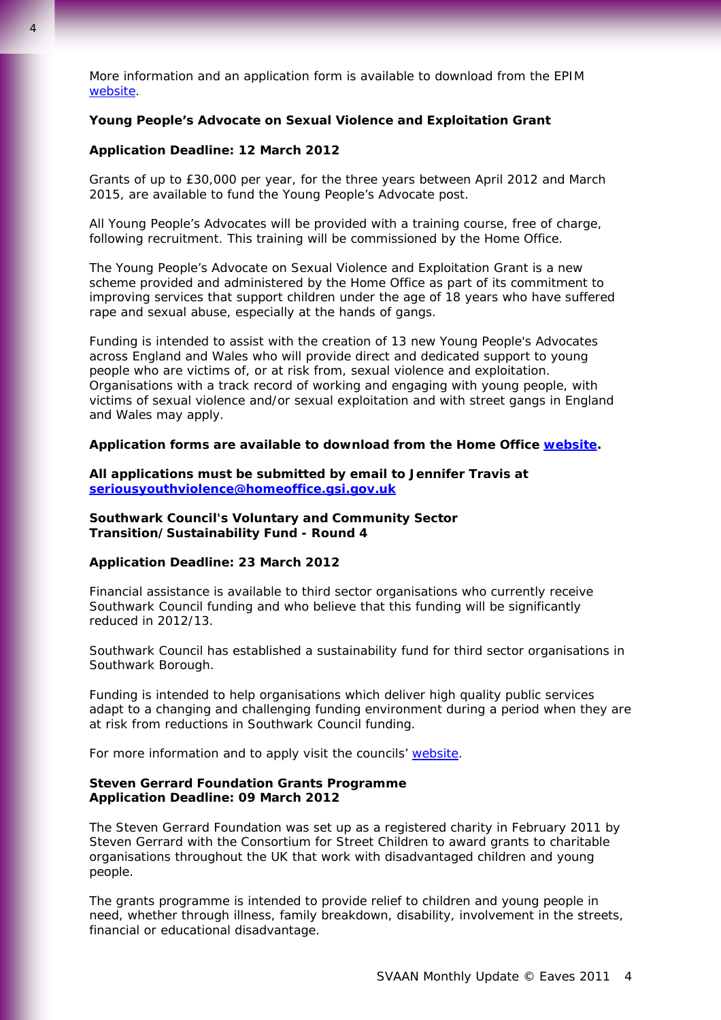More information and an application form is available to download from the EPIM [website.](http://epim.rhinoprod.all2all.org/about/)

#### **Young People's Advocate on Sexual Violence and Exploitation Grant**

#### **Application Deadline: 12 March 2012**

Grants of up to £30,000 per year, for the three years between April 2012 and March 2015, are available to fund the Young People's Advocate post.

All Young People's Advocates will be provided with a training course, free of charge, following recruitment. This training will be commissioned by the Home Office.

The Young People's Advocate on Sexual Violence and Exploitation Grant is a new scheme provided and administered by the Home Office as part of its commitment to improving services that support children under the age of 18 years who have suffered rape and sexual abuse, especially at the hands of gangs.

Funding is intended to assist with the creation of 13 new Young People's Advocates across England and Wales who will provide direct and dedicated support to young people who are victims of, or at risk from, sexual violence and exploitation. Organisations with a track record of working and engaging with young people, with victims of sexual violence and/or sexual exploitation and with street gangs in England and Wales may apply.

#### **Application forms are available to download from the Home Office [website.](http://www.j4bcommunity.co.uk/Default.aspx?WCI=htmHome&WCU=CBC=View,DSCODE=J4BGR3,NEWSITEMID=252-N42036)**

**All applications must be submitted by email to Jennifer Travis at [seriousyouthviolence@homeoffice.gsi.gov.uk](mailto:seriousyouthviolence@homeoffice.gsi.gov.uk)**

**Southwark Council's Voluntary and Community Sector Transition/Sustainability Fund - Round 4** 

## **Application Deadline: 23 March 2012**

Financial assistance is available to third sector organisations who currently receive Southwark Council funding and who believe that this funding will be significantly reduced in 2012/13.

Southwark Council has established a sustainability fund for third sector organisations in Southwark Borough.

Funding is intended to help organisations which deliver high quality public services adapt to a changing and challenging funding environment during a period when they are at risk from reductions in Southwark Council funding.

For more information and to apply visit the councils' [website](http://casouthwark.org.uk/news/round-4-of-the-council%E2%80%99s-transition-sustainability-fund-2012-2013/).

## **Steven Gerrard Foundation Grants Programme Application Deadline: 09 March 2012**

The Steven Gerrard Foundation was set up as a registered charity in February 2011 by Steven Gerrard with the Consortium for Street Children to award grants to charitable organisations throughout the UK that work with disadvantaged children and young people.

The grants programme is intended to provide relief to children and young people in need, whether through illness, family breakdown, disability, involvement in the streets, financial or educational disadvantage.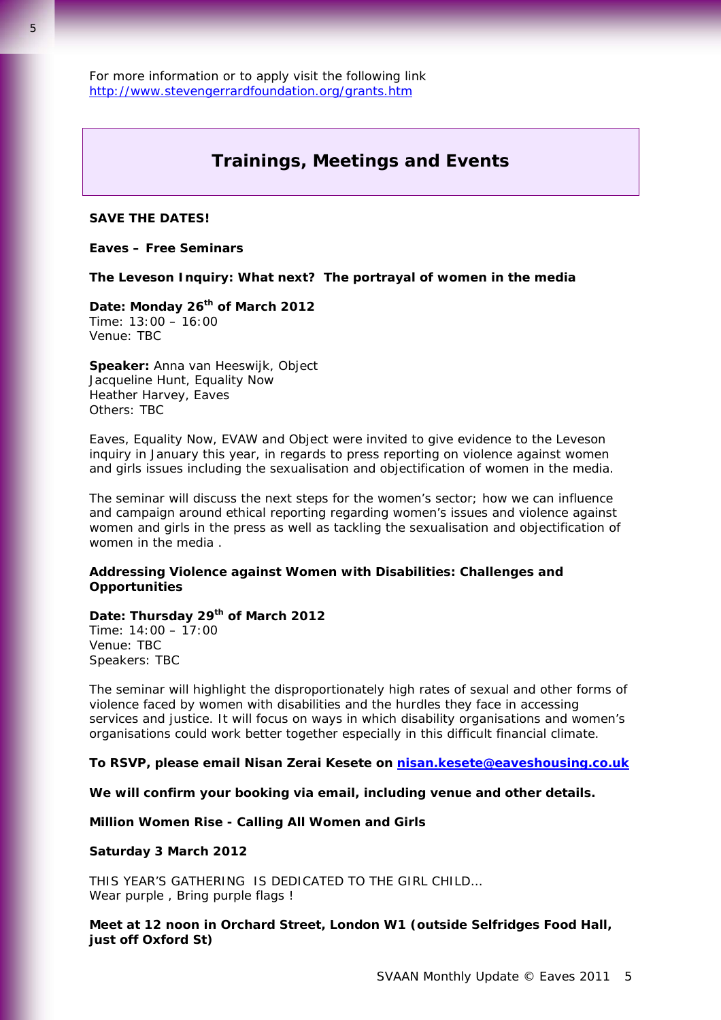For more information or to apply visit the following link <http://www.stevengerrardfoundation.org/grants.htm>

## **Trainings, Meetings and Events**

## **SAVE THE DATES!**

#### **Eaves – Free Seminars**

**The Leveson Inquiry: What next?** *The portrayal of women in the media*

## Date: Monday 26<sup>th</sup> of March 2012

Time: 13:00 – 16:00 Venue: TBC

**Speaker:** Anna van Heeswijk, Object Jacqueline Hunt, Equality Now Heather Harvey, Eaves Others: TBC

Eaves, Equality Now, EVAW and Object were invited to give evidence to the Leveson inquiry in January this year, in regards to press reporting on violence against women and girls issues including the sexualisation and objectification of women in the media.

The seminar will discuss the next steps for the women's sector; how we can influence and campaign around ethical reporting regarding women's issues and violence against women and girls in the press as well as tackling the sexualisation and objectification of women in the media .

## **Addressing Violence against Women with Disabilities: Challenges and Opportunities**

## **Date: Thursday 29th of March 2012** Time: 14:00 – 17:00

Venue: TBC Speakers: TBC

The seminar will highlight the disproportionately high rates of sexual and other forms of violence faced by women with disabilities and the hurdles they face in accessing services and justice. It will focus on ways in which disability organisations and women's organisations could work better together especially in this difficult financial climate.

#### **To RSVP, please email Nisan Zerai Kesete on [nisan.kesete@eaveshousing.co.uk](mailto:nisan.kesete@eaveshousing.co.uk)**

**We will confirm your booking via email, including venue and other details.** 

#### **Million Women Rise - Calling All Women and Girls**

#### **Saturday 3 March 2012**

THIS YEAR'S GATHERING IS DEDICATED TO THE GIRL CHILD… Wear purple, Bring purple flags!

## **Meet at 12 noon in Orchard Street, London W1 (outside Selfridges Food Hall, just off Oxford St)**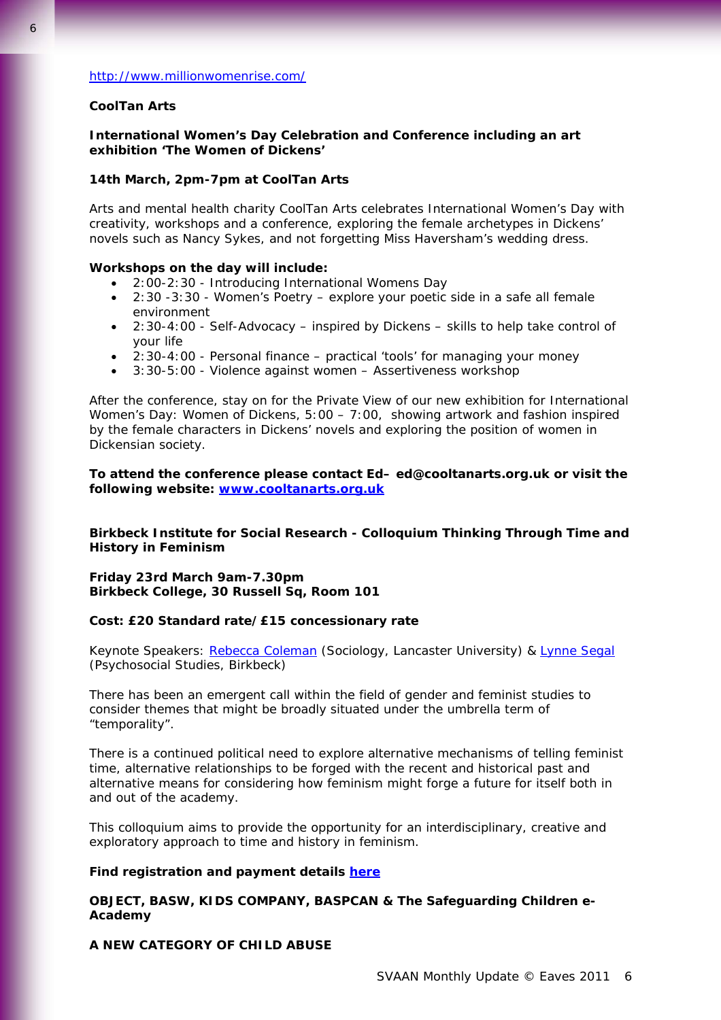### <http://www.millionwomenrise.com/>

#### **CoolTan Arts**

## **International Women's Day Celebration and Conference including an art exhibition 'The Women of Dickens'**

## **14th March, 2pm-7pm at CoolTan Arts**

Arts and mental health charity CoolTan Arts celebrates International Women's Day with creativity, workshops and a conference, exploring the female archetypes in Dickens' novels such as Nancy Sykes, and not forgetting Miss Haversham's wedding dress.

#### **Workshops on the day will include:**

- 2:00-2:30 Introducing International Womens Day
- 2:30 -3:30 Women's Poetry explore your poetic side in a safe all female environment
- 2:30-4:00 Self-Advocacy inspired by Dickens skills to help take control of your life
- 2:30-4:00 Personal finance practical 'tools' for managing your money
- 3:30-5:00 Violence against women Assertiveness workshop

After the conference, stay on for the Private View of our new exhibition for International Women's Day: Women of Dickens, 5:00 – 7:00, showing artwork and fashion inspired by the female characters in Dickens' novels and exploring the position of women in Dickensian society.

**To attend the conference please contact Ed– ed@cooltanarts.org.uk or visit the following website: [www.cooltanarts.org.uk](http://www.cooltanarts.org.uk/)**

## **Birkbeck Institute for Social Research - Colloquium** *Thinking Through Time and History in Feminism*

**Friday 23rd March 9am-7.30pm Birkbeck College, 30 Russell Sq, Room 101** 

## **Cost: £20 Standard rate/£15 concessionary rate**

Keynote Speakers: [Rebecca Coleman](http://www.lancs.ac.uk/fass/faculty/profiles/Rebecca-Coleman/Sociology/) (Sociology, Lancaster University) & [Lynne Segal](http://www.bbk.ac.uk/events-calendar/psychosocial/our-staff/full-time-academic-staff/lynne-segal) (Psychosocial Studies, Birkbeck)

There has been an emergent call within the field of gender and feminist studies to consider themes that might be broadly situated under the umbrella term of "temporality".

There is a continued political need to explore alternative mechanisms of telling feminist time, alternative relationships to be forged with the recent and historical past and alternative means for considering how feminism might forge a future for itself both in and out of the academy.

This colloquium aims to provide the opportunity for an interdisciplinary, creative and exploratory approach to time and history in feminism.

## **Find registration and payment details [here](http://www.bbk.ac.uk/bisr/events/bbk-local?uid=d22d9cc1a32a574ffbf57b323c35b9f6)**

## **OBJECT, BASW, KIDS COMPANY, BASPCAN & The Safeguarding Children e-Academy**

#### **A NEW CATEGORY OF CHILD ABUSE**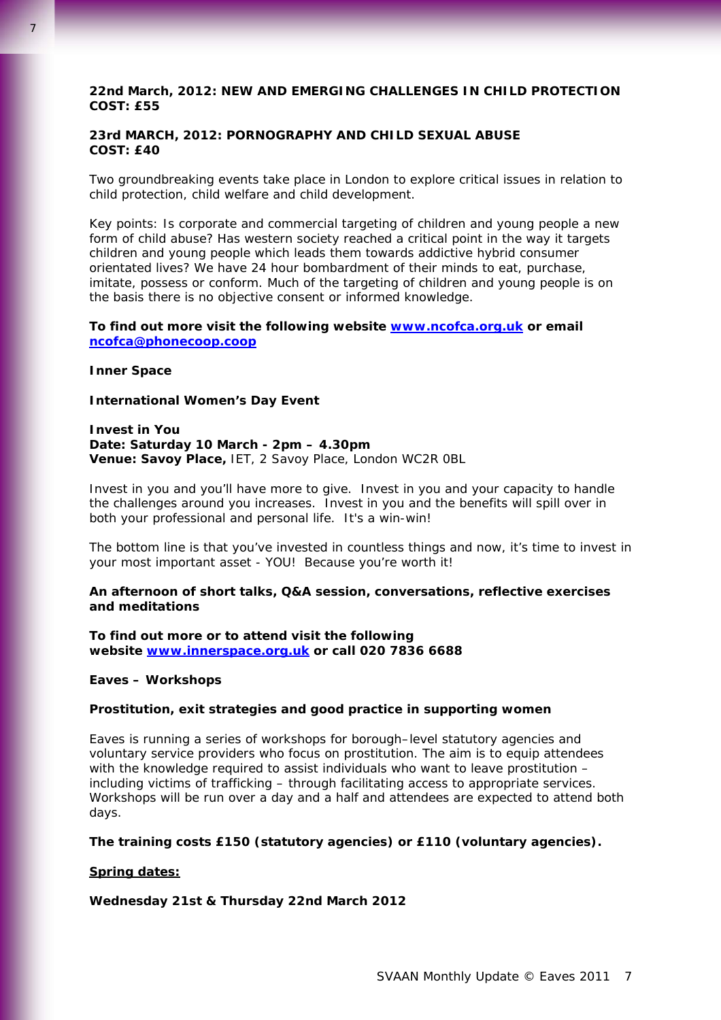## **22nd March, 2012: NEW AND EMERGING CHALLENGES IN CHILD PROTECTION COST: £55**

## **23rd MARCH, 2012: PORNOGRAPHY AND CHILD SEXUAL ABUSE COST: £40**

Two groundbreaking events take place in London to explore critical issues in relation to child protection, child welfare and child development.

Key points: Is corporate and commercial targeting of children and young people a new form of child abuse? Has western society reached a critical point in the way it targets children and young people which leads them towards addictive hybrid consumer orientated lives? We have 24 hour bombardment of their minds to eat, purchase, imitate, possess or conform. Much of the targeting of children and young people is on the basis there is no objective consent or informed knowledge.

## **To find out more visit the following website [www.ncofca.org.uk](http://www.ncofca.org.uk/) or email [ncofca@phonecoop.coop](mailto:ncofca@phonecoop.coop)**

#### **Inner Space**

7

#### **International Women's Day Event**

#### **Invest in You Date: Saturday 10 March - 2pm – 4.30pm Venue: Savoy Place,** IET, 2 Savoy Place, London WC2R 0BL

Invest in you and you'll have more to give. Invest in you and your capacity to handle the challenges around you increases. Invest in you and the benefits will spill over in both your professional and personal life. It's a win-win!

The bottom line is that you've invested in countless things and now, it's time to invest in your most important asset - YOU! Because you're worth it!

## **An afternoon of short talks, Q&A session, conversations, reflective exercises and meditations**

**To find out more or to attend visit the following website [www.innerspace.org.uk](http://www.innerspace.org.uk/) or call 020 7836 6688**

#### **Eaves – Workshops**

#### **Prostitution, exit strategies and good practice in supporting women**

Eaves is running a series of workshops for borough–level statutory agencies and voluntary service providers who focus on prostitution. The aim is to equip attendees with the knowledge required to assist individuals who want to leave prostitution – including victims of trafficking – through facilitating access to appropriate services. Workshops will be run over a day and a half and attendees are expected to attend both days.

#### **The training costs £150 (statutory agencies) or £110 (voluntary agencies).**

#### **Spring dates:**

#### **Wednesday 21st & Thursday 22nd March 2012**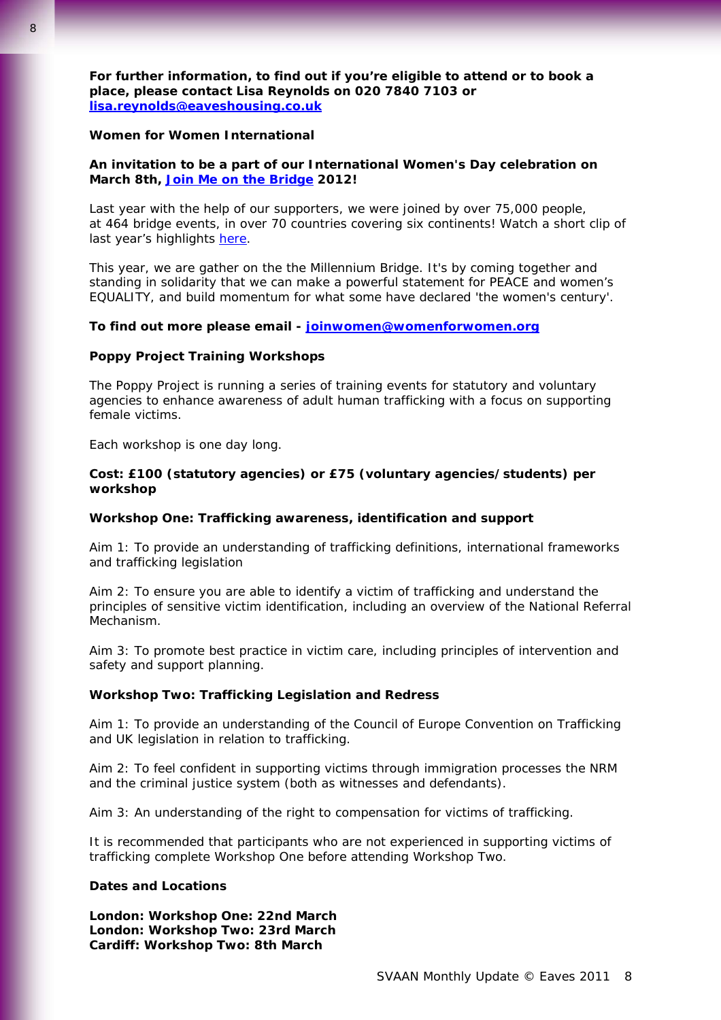**For further information, to find out if you're eligible to attend or to book a place, please contact Lisa Reynolds on 020 7840 7103 or [lisa.reynolds@eaveshousing.co.uk](mailto:lisa.reynolds@eaveshousing.co.uk)**

#### **Women for Women International**

#### **An invitation to be a part of our International Women's Day celebration on March 8th, [Join Me on the Bridge](http://joinmeonthebridge.org/events/london) 2012!**

Last year with the help of our supporters, we were joined by over 75,000 people, at 464 bridge events, in over 70 countries covering six continents! Watch a short clip of last year's highlights here.

This year, we are gather on the the Millennium Bridge. It's by coming together and standing in solidarity that we can make a powerful statement for PEACE and women's EQUALITY, and build momentum for what some have declared 'the women's century'.

#### **To find out more please email - [joinwomen@womenforwomen.org](mailto:joinwomen@womenforwomen.org)**

#### **Poppy Project Training Workshops**

The Poppy Project is running a series of training events for statutory and voluntary agencies to enhance awareness of adult human trafficking with a focus on supporting female victims.

Each workshop is one day long.

## **Cost: £100 (statutory agencies) or £75 (voluntary agencies/students) per workshop**

#### **Workshop One: Trafficking awareness, identification and support**

Aim 1: To provide an understanding of trafficking definitions, international frameworks and trafficking legislation

Aim 2: To ensure you are able to identify a victim of trafficking and understand the principles of sensitive victim identification, including an overview of the National Referral Mechanism.

Aim 3: To promote best practice in victim care, including principles of intervention and safety and support planning.

## **Workshop Two: Trafficking Legislation and Redress**

Aim 1: To provide an understanding of the Council of Europe Convention on Trafficking and UK legislation in relation to trafficking.

Aim 2: To feel confident in supporting victims through immigration processes the NRM and the criminal justice system (both as witnesses and defendants).

Aim 3: An understanding of the right to compensation for victims of trafficking.

*It is recommended that participants who are not experienced in supporting victims of trafficking complete Workshop One before attending Workshop Two.* 

#### **Dates and Locations**

**London: Workshop One: 22nd March London: Workshop Two: 23rd March Cardiff: Workshop Two: 8th March**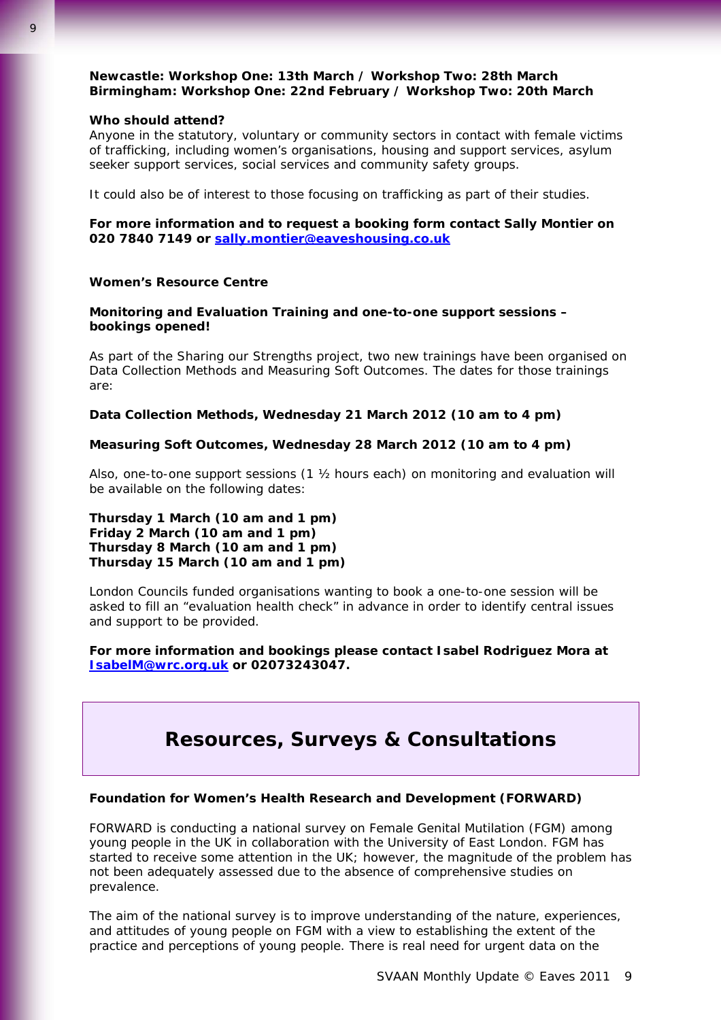## **Newcastle: Workshop One: 13th March / Workshop Two: 28th March Birmingham: Workshop One: 22nd February / Workshop Two: 20th March**

#### **Who should attend?**

Anyone in the statutory, voluntary or community sectors in contact with female victims of trafficking, including women's organisations, housing and support services, asylum seeker support services, social services and community safety groups.

It could also be of interest to those focusing on trafficking as part of their studies.

## **For more information and to request a booking form contact Sally Montier on 020 7840 7149 or [sally.montier@eaveshousing.co.uk](mailto:sally.montier@eaveshousing.co.uk)**

#### **Women's Resource Centre**

## **Monitoring and Evaluation Training and one-to-one support sessions – bookings opened!**

As part of the Sharing our Strengths project, two new trainings have been organised on Data Collection Methods and Measuring Soft Outcomes. The dates for those trainings are:

#### **Data Collection Methods, Wednesday 21 March 2012 (10 am to 4 pm)**

## **Measuring Soft Outcomes, Wednesday 28 March 2012 (10 am to 4 pm)**

Also, one-to-one support sessions (1 ½ hours each) on monitoring and evaluation will be available on the following dates:

## **Thursday 1 March (10 am and 1 pm) Friday 2 March (10 am and 1 pm) Thursday 8 March (10 am and 1 pm) Thursday 15 March (10 am and 1 pm)**

London Councils funded organisations wanting to book a one-to-one session will be asked to fill an "evaluation health check" in advance in order to identify central issues and support to be provided.

## **For more information and bookings please contact Isabel Rodriguez Mora at [IsabelM@wrc.org.uk](mailto:IsabelM@wrc.org.uk) or 02073243047.**

# **Resources, Surveys & Consultations**

#### **Foundation for Women's Health Research and Development (FORWARD)**

FORWARD is conducting a national survey on Female Genital Mutilation (FGM) among young people in the UK in collaboration with the University of East London. FGM has started to receive some attention in the UK; however, the magnitude of the problem has not been adequately assessed due to the absence of comprehensive studies on prevalence.

The aim of the national survey is to improve understanding of the nature, experiences, and attitudes of young people on FGM with a view to establishing the extent of the practice and perceptions of young people. There is real need for urgent data on the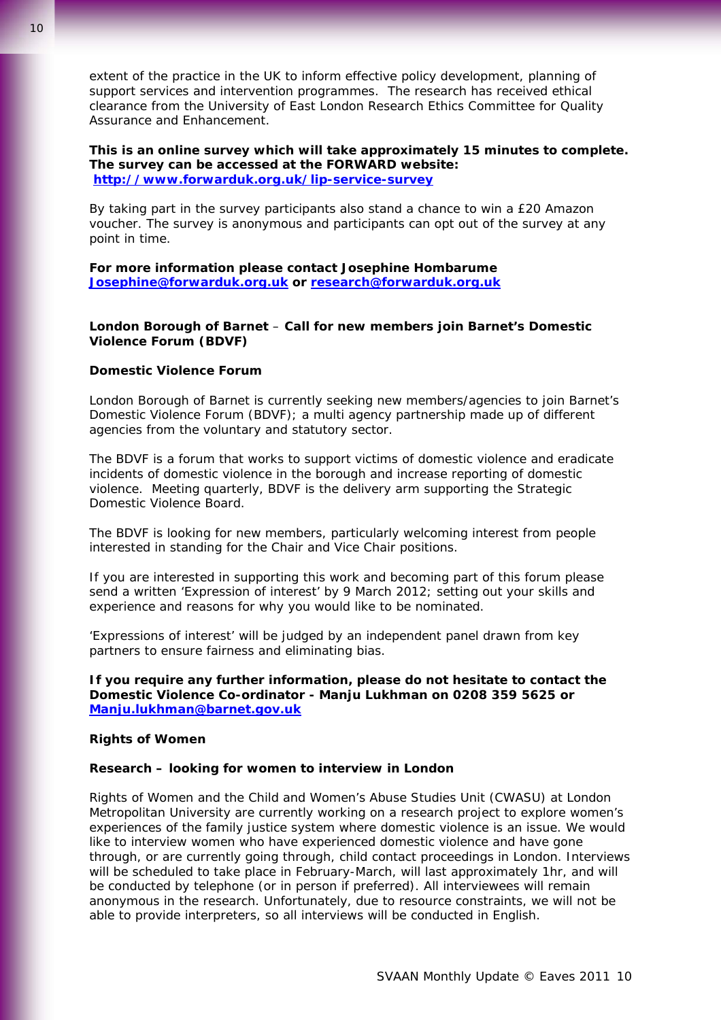extent of the practice in the UK to inform effective policy development, planning of support services and intervention programmes. The research has received ethical clearance from the University of East London Research Ethics Committee for Quality Assurance and Enhancement.

**This is an online survey which will take approximately 15 minutes to complete. The survey can be accessed at the FORWARD website: <http://www.forwarduk.org.uk/lip-service-survey>** 

By taking part in the survey participants also stand a chance to win a £20 Amazon voucher. The survey is anonymous and participants can opt out of the survey at any point in time.

**For more information please contact Josephine Hombarume [Josephine@forwarduk.org.uk](mailto:Josephine@forwarduk.org.uk) or [research@forwarduk.org.uk](mailto:research@forwarduk.org.uk)**

## **London Borough of Barnet** – **Call for new members join Barnet's Domestic Violence Forum (BDVF)**

## **Domestic Violence Forum**

London Borough of Barnet is currently seeking new members/agencies to join Barnet's Domestic Violence Forum (BDVF); a multi agency partnership made up of different agencies from the voluntary and statutory sector.

The BDVF is a forum that works to support victims of domestic violence and eradicate incidents of domestic violence in the borough and increase reporting of domestic violence. Meeting quarterly, BDVF is the delivery arm supporting the Strategic Domestic Violence Board.

The BDVF is looking for new members, particularly welcoming interest from people interested in standing for the Chair and Vice Chair positions.

If you are interested in supporting this work and becoming part of this forum please send a written 'Expression of interest' by 9 March 2012; setting out your skills and experience and reasons for why you would like to be nominated.

'Expressions of interest' will be judged by an independent panel drawn from key partners to ensure fairness and eliminating bias.

**If you require any further information, please do not hesitate to contact the Domestic Violence Co-ordinator - Manju Lukhman on 0208 359 5625 or [Manju.lukhman@barnet.gov.uk](mailto:Manju.lukhman@barnet.gov.uk)**

## **Rights of Women**

#### **Research – looking for women to interview in London**

Rights of Women and the Child and Women's Abuse Studies Unit (CWASU) at London Metropolitan University are currently working on a research project to explore women's experiences of the family justice system where domestic violence is an issue. We would like to interview women who have experienced domestic violence and have gone through, or are currently going through, child contact proceedings in London. Interviews will be scheduled to take place in February-March, will last approximately 1hr, and will be conducted by telephone (or in person if preferred). All interviewees will remain anonymous in the research. Unfortunately, due to resource constraints, we will not be able to provide interpreters, so all interviews will be conducted in English.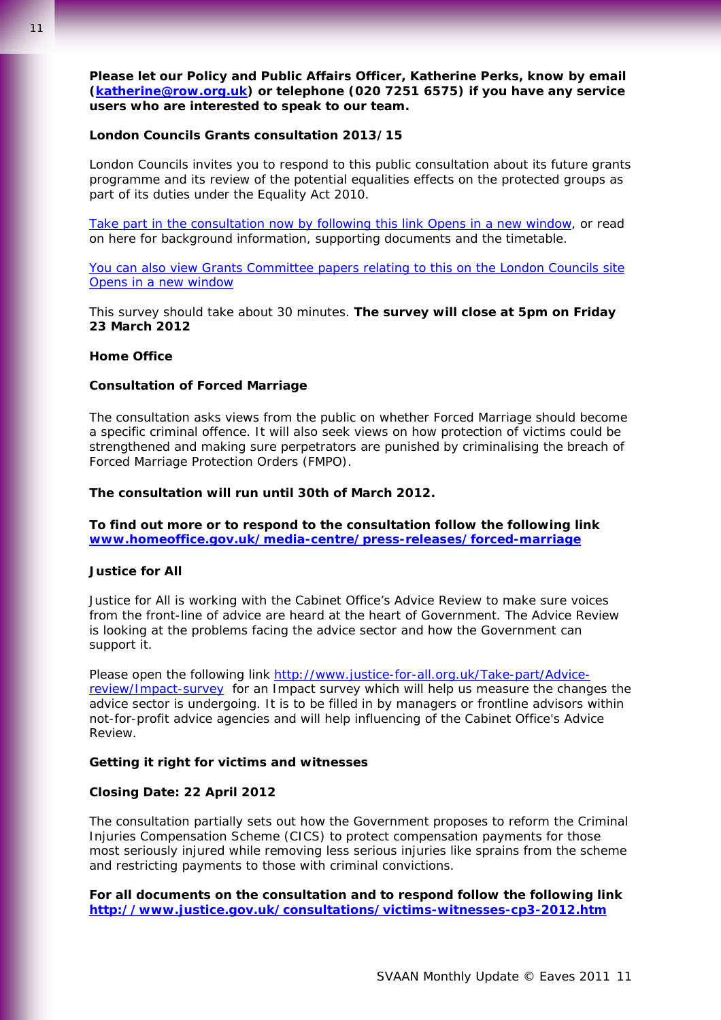**Please let our Policy and Public Affairs Officer, Katherine Perks, know by email [\(katherine@row.org.uk](mailto:katherine@row.org.uk)) or telephone (020 7251 6575) if you have any service users who are interested to speak to our team.** 

#### **London Councils Grants consultation 2013/15**

London Councils invites you to respond to this public consultation about its future grants programme and its review of the potential equalities effects on the protected groups as part of its duties under the Equality Act 2010.

[Take part in the consultation now by following this link Opens in a new](http://www.surveymonkey.com/s/grantsconsult) window, or read on here for background information, supporting documents and the timetable.

[You can also view Grants Committee papers relating to this on the London Councils site](http://www.londoncouncils.gov.uk/committees/retrieve.htm?comid=3)  [Opens in a new window](http://www.londoncouncils.gov.uk/committees/retrieve.htm?comid=3) 

This survey should take about 30 minutes. **The survey will close at 5pm on Friday 23 March 2012** 

#### **Home Office**

#### **Consultation of Forced Marriage**

The consultation asks views from the public on whether Forced Marriage should become a specific criminal offence. It will also seek views on how protection of victims could be strengthened and making sure perpetrators are punished by criminalising the breach of Forced Marriage Protection Orders (FMPO).

#### **The consultation will run until 30th of March 2012.**

**To find out more or to respond to the consultation follow the following link [www.homeoffice.gov.uk/media-centre/press-releases/forced-marriage](http://www.homeoffice.gov.uk/media-centre/press-releases/forced-marriage)**

#### **Justice for All**

Justice for All is working with the Cabinet Office's Advice Review to make sure voices from the front-line of advice are heard at the heart of Government. The Advice Review is looking at the problems facing the advice sector and how the Government can support it.

Please open the following link [http://www.justice-for-all.org.uk/Take-part/Advice](http://www.justice-for-all.org.uk/Take-part/Advice-review/Impact-survey)[review/Impact-survey](http://www.justice-for-all.org.uk/Take-part/Advice-review/Impact-survey) for an Impact survey which will help us measure the changes the advice sector is undergoing. It is to be filled in by managers or frontline advisors within not-for-profit advice agencies and will help influencing of the Cabinet Office's Advice Review.

#### **Getting it right for victims and witnesses**

#### **Closing Date: 22 April 2012**

The consultation partially sets out how the Government proposes to reform the Criminal Injuries Compensation Scheme (CICS) to protect compensation payments for those most seriously injured while removing less serious injuries like sprains from the scheme and restricting payments to those with criminal convictions.

**For all documents on the consultation and to respond follow the following link <http://www.justice.gov.uk/consultations/victims-witnesses-cp3-2012.htm>**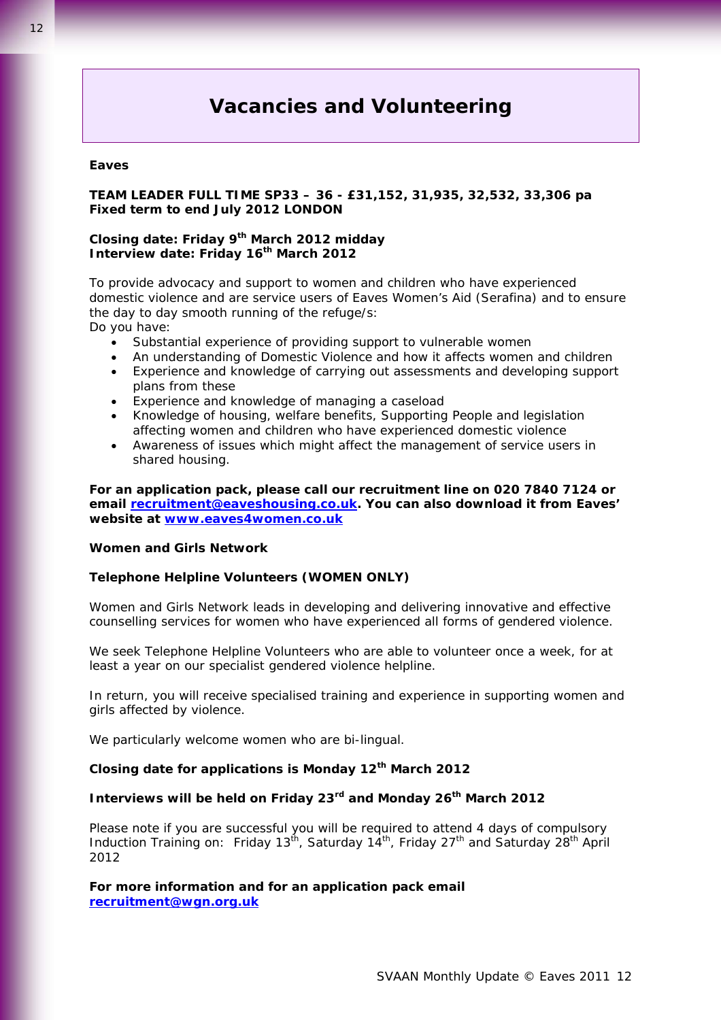# **Vacancies and Volunteering**

#### **Eaves**

## **TEAM LEADER FULL TIME SP33 – 36 - £31,152, 31,935, 32,532, 33,306 pa Fixed term to end July 2012 LONDON**

## **Closing date: Friday 9th March 2012 midday Interview date: Friday 16th March 2012**

To provide advocacy and support to women and children who have experienced domestic violence and are service users of Eaves Women's Aid (Serafina) and to ensure the day to day smooth running of the refuge/s: Do you have:

• Substantial experience of providing support to vulnerable women

- An understanding of Domestic Violence and how it affects women and children
- Experience and knowledge of carrying out assessments and developing support plans from these
- Experience and knowledge of managing a caseload
- Knowledge of housing, welfare benefits, Supporting People and legislation affecting women and children who have experienced domestic violence
- Awareness of issues which might affect the management of service users in shared housing.

**For an application pack, please call our recruitment line on 020 7840 7124 or email [recruitment@eaveshousing.co.uk.](mailto:recruitment@eaveshousing.co.uk) You can also download it from Eaves' website at [www.eaves4women.co.uk](http://www.eaves4women.co.uk/)**

#### **Women and Girls Network**

#### **Telephone Helpline Volunteers (WOMEN ONLY)**

Women and Girls Network leads in developing and delivering innovative and effective counselling services for women who have experienced all forms of gendered violence.

We seek Telephone Helpline Volunteers who are able to volunteer once a week, for at least a year on our specialist gendered violence helpline.

In return, you will receive specialised training and experience in supporting women and girls affected by violence.

We particularly welcome women who are bi-lingual.

## **Closing date for applications is Monday 12th March 2012**

## **Interviews will be held on Friday 23rd and Monday 26th March 2012**

Please note if you are successful you will be required to attend 4 days of compulsory Induction Training on: Friday 13<sup>th</sup>, Saturday 14<sup>th</sup>, Friday 27<sup>th</sup> and Saturday 28<sup>th</sup> April 2012

**For more information and for an application pack email [recruitment@wgn.org.uk](mailto:recruitment@wgn.org.uk)**